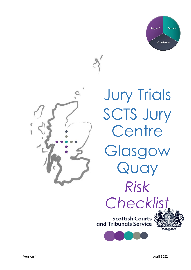



**Jury Trials** SCTS Jury **Centre** Glasgow Quay *Risk Checklist*»<br>Scottish Courts<br>and Tribunals Service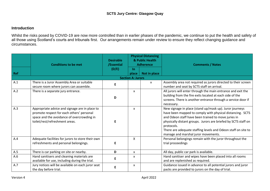## **Introduction**

Whilst the risks posed by COVID-19 are now more controlled than in earlier phases of the pandemic, we continue to put the health and safety of all those using Scotland's courts and tribunals first. Our arrangements remain under review to ensure they reflect changing guidance and circumstances.

|     | <b>Conditions to be met</b>                                                                                                                                                 | <b>Desirable</b><br>/Essential | <b>Physical Distancing</b><br>& Public Health<br><b>Adherence</b> |                                                                               | <b>Comments / Notes</b>                                                                                                                                                                                                                                                                                                                                             |  |
|-----|-----------------------------------------------------------------------------------------------------------------------------------------------------------------------------|--------------------------------|-------------------------------------------------------------------|-------------------------------------------------------------------------------|---------------------------------------------------------------------------------------------------------------------------------------------------------------------------------------------------------------------------------------------------------------------------------------------------------------------------------------------------------------------|--|
| Ref |                                                                                                                                                                             | (D/E)                          | $\ln$<br>Not in place<br>place                                    |                                                                               |                                                                                                                                                                                                                                                                                                                                                                     |  |
|     | <b>Section A: Jurors</b>                                                                                                                                                    |                                |                                                                   |                                                                               |                                                                                                                                                                                                                                                                                                                                                                     |  |
| A.1 | There is a Juror Assembly Area or suitable<br>secure room where jurors can assemble.                                                                                        | Е                              |                                                                   | X                                                                             | Assembly area not required as jurors directed to their screen<br>number and seat by SCTS staff on arrival.                                                                                                                                                                                                                                                          |  |
| A.2 | There is a separate jury entrance.                                                                                                                                          | D                              | $\mathsf{x}$                                                      |                                                                               | All jurors will enter through the main entrance and exit the<br>building from the fire exits located at each side of the<br>screens. There is another entrance through a service door if<br>necessary.                                                                                                                                                              |  |
| A.3 | Appropriate advice and signage are in place to<br>promote respect for each others' personal<br>space and the avoidance of overcrowding in<br>toilet/rest/refreshment areas. |                                | X                                                                 |                                                                               | New signage in place (stand up/mask up). Juror journeys<br>have been mapped to comply with physical distancing. SCTS<br>and Odeon staff have been trained to move juries in<br>physically distant groups. Jurors are briefed by SCTS staff on<br>protocols.<br>There are adequate staffing levels and Odeon staff on site to<br>manage and marshal juror movements. |  |
| A.4 | Adequate facilities for jurors to store their own<br>refreshments and personal belongings.                                                                                  | E                              | X                                                                 | Personal belongings remain with the juror throughout the<br>trial proceedings |                                                                                                                                                                                                                                                                                                                                                                     |  |
| A.5 | There is car parking on site or nearby.                                                                                                                                     | D                              | X                                                                 |                                                                               | All day, public car park is available.                                                                                                                                                                                                                                                                                                                              |  |
| A.6 | Hand sanitisers and cleaning materials are<br>available for use, including during the trial.                                                                                | E                              | X                                                                 |                                                                               | Hand sanitiser and wipes have been placed into all rooms<br>and are replenished as required.                                                                                                                                                                                                                                                                        |  |
| A.7 | Jury notices will be available on each juror seat<br>the day before trial.                                                                                                  | E                              | x                                                                 |                                                                               | Guidance issued in advance to all potential jurors and juror<br>packs are provided to jurors on the day of trial.                                                                                                                                                                                                                                                   |  |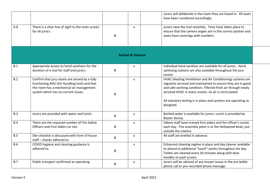|                           |                                                                                                                                                                                  |    |                    | Jurors will deliberate in the room they are based in. All seats<br>have been numbered accordingly.                                                                                                                                                                                                                      |  |  |  |
|---------------------------|----------------------------------------------------------------------------------------------------------------------------------------------------------------------------------|----|--------------------|-------------------------------------------------------------------------------------------------------------------------------------------------------------------------------------------------------------------------------------------------------------------------------------------------------------------------|--|--|--|
| A.8                       | There is a clear line of sight to the main screen<br>for all jurors.                                                                                                             | E  | X                  | Jurors view the trial remotely. Tests have taken place to<br>ensure that the camera angles are in the correct positon and<br>seats have coverings with numbers.                                                                                                                                                         |  |  |  |
| <b>Section B: General</b> |                                                                                                                                                                                  |    |                    |                                                                                                                                                                                                                                                                                                                         |  |  |  |
| B.1                       | Appropriate access to hand sanitisers for the<br>duration of a trial for staff and jurors.                                                                                       | E  | X                  | Individual hand sanitiser are available for all jurors. Hand<br>sanitising stations are also available throughout the jury<br>centre.                                                                                                                                                                                   |  |  |  |
| B.2                       | Confirm that jury rooms are served by a fully<br>functioning AHU (Air Handling Unit) and that<br>the room has a mechanical air management<br>system which has no current issues. | E. | X                  | HVAC (Heating Ventilation and Air Conditioning) systems are<br>regularly serviced and maintained to ensure they are in good<br>and safe working condition. Filtered fresh air through newly<br>serviced HVAC in every screen, no air is recirculated.<br>All statutory testing is in place and systems are operating as |  |  |  |
| B.3                       | Jurors are provided with water and lunch.                                                                                                                                        |    |                    | designed.<br>Bottled water is available for jurors. Lunch is provided by                                                                                                                                                                                                                                                |  |  |  |
|                           |                                                                                                                                                                                  | E  | $\pmb{\mathsf{x}}$ | Baxter Storey.                                                                                                                                                                                                                                                                                                          |  |  |  |
| B.4                       | There are the required number of Fire Safety<br>Officers and First Aiders on site.                                                                                               | E  | X                  | Odeon staff have trained first aiders and fire officer's onsite<br>each day. Fire assembly point is at the Hollywood bowl, just<br>outside the cinema.                                                                                                                                                                  |  |  |  |
| B.5                       | Site checklist is discussed with front of house<br>staff - checks adhered to.                                                                                                    | E  | X                  | All staff are briefed in advance.                                                                                                                                                                                                                                                                                       |  |  |  |
| B.6                       | COVID hygiene and cleaning guidance is<br>adhered to.                                                                                                                            | E  | X                  | Enhanced cleaning regime in place and day cleaner available<br>to attend to additional "touch" points throughout the day.<br>Toilets are cleaned every 30 minutes along with door<br>handles to each screen.                                                                                                            |  |  |  |
| B.7                       | Public transport confirmed as operating.                                                                                                                                         | E  | X                  | Jurors will be advised of any known issues in the pre-ballot<br>phone call or pre-recorded phone message.                                                                                                                                                                                                               |  |  |  |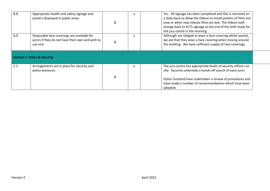| <b>B.8</b> | Appropriate health and safety signage and<br>posters displayed in public areas.                             | x | Yes. All signage has been completed and this is removed on<br>a daily basis to allow the Odeon to install posters of films out<br>now or when new release films are due. The Odeon staff<br>change back to SCTS signage at the end of the shift ready for<br>the jury centre in the morning. |  |
|------------|-------------------------------------------------------------------------------------------------------------|---|----------------------------------------------------------------------------------------------------------------------------------------------------------------------------------------------------------------------------------------------------------------------------------------------|--|
| <b>B.9</b> | Disposable face coverings are available for<br>jurors if they do not have their own and wish to<br>use one. | x | Although not obliged to wear a face covering whilst seated,<br>we ask that they wear a face covering when moving around<br>the building. We have sufficient supply of face coverings.                                                                                                        |  |
|            | <b>Section C: Police &amp; Security</b>                                                                     |   |                                                                                                                                                                                                                                                                                              |  |
| C.1        | Arrangements are in place for security and<br>police presence.                                              | x | The jury centre has appropriate levels of security officers on<br>site. Security undertake a hands-off search of each juror.<br>Police Scotland have undertaken a review of procedures and<br>have made a number of recommendations which have been<br>adopted.                              |  |